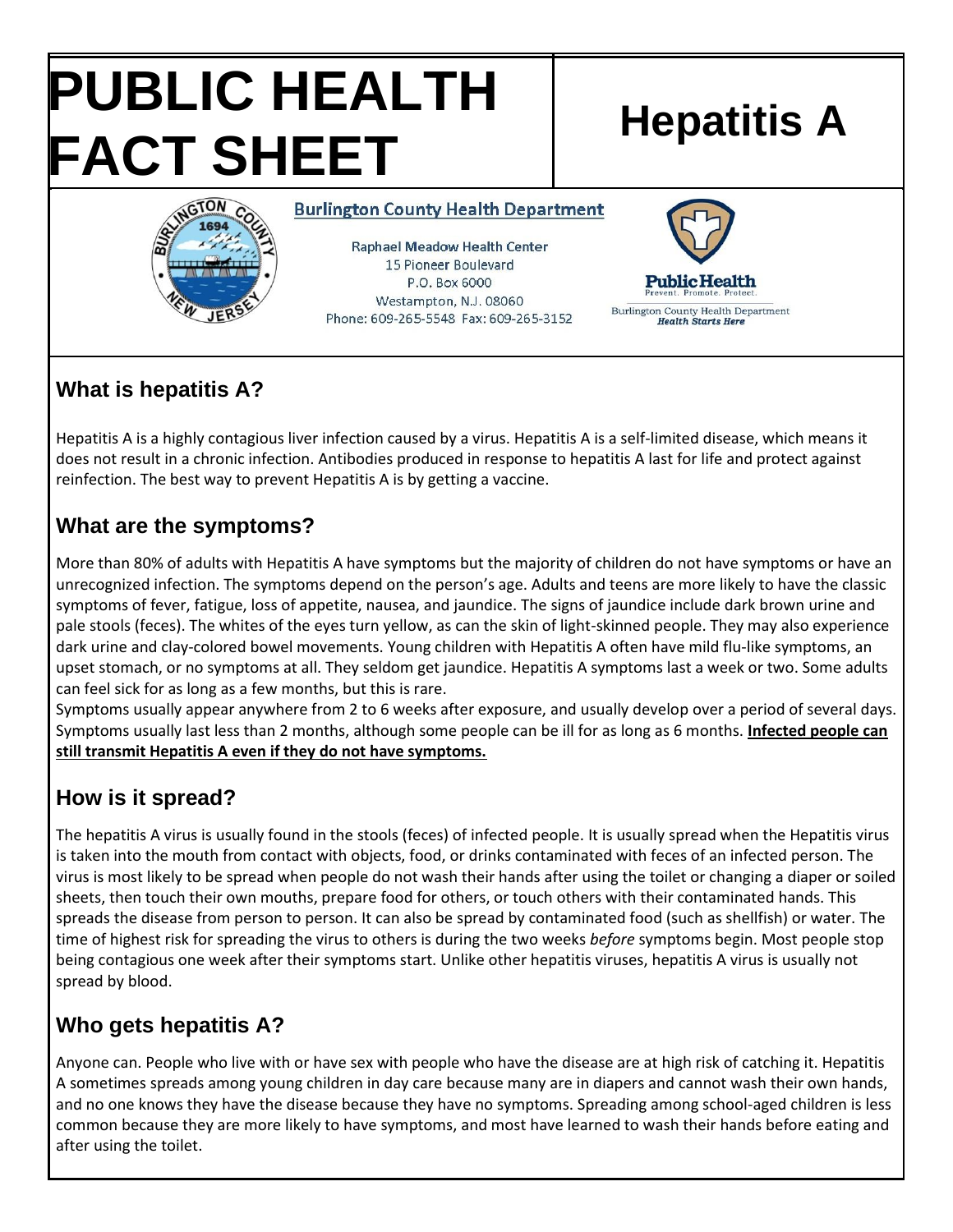# **PUBLIC HEALTH FACT SHEET** Hepatitis A



**Burlington County Health Department** 

**Raphael Meadow Health Center** 15 Pioneer Boulevard P.O. Box 6000 Westampton, N.J. 08060 Phone: 609-265-5548 Fax: 609-265-3152



# **What is hepatitis A?**

Hepatitis A is a highly contagious liver infection caused by a virus. Hepatitis A is a self-limited disease, which means it does not result in a chronic infection. Antibodies produced in response to hepatitis A last for life and protect against reinfection. The best way to prevent Hepatitis A is by getting a vaccine.

### **What are the symptoms?**

More than 80% of adults with Hepatitis A have symptoms but the majority of children do not have symptoms or have an unrecognized infection. The symptoms depend on the person's age. Adults and teens are more likely to have the classic symptoms of fever, fatigue, loss of appetite, nausea, and jaundice. The signs of jaundice include dark brown urine and pale stools (feces). The whites of the eyes turn yellow, as can the skin of light-skinned people. They may also experience dark urine and clay-colored bowel movements. Young children with Hepatitis A often have mild flu-like symptoms, an upset stomach, or no symptoms at all. They seldom get jaundice. Hepatitis A symptoms last a week or two. Some adults can feel sick for as long as a few months, but this is rare.

Symptoms usually appear anywhere from 2 to 6 weeks after exposure, and usually develop over a period of several days. Symptoms usually last less than 2 months, although some people can be ill for as long as 6 months. **Infected people can still transmit Hepatitis A even if they do not have symptoms.** 

# **How is it spread?**

The hepatitis A virus is usually found in the stools (feces) of infected people. It is usually spread when the Hepatitis virus is taken into the mouth from contact with objects, food, or drinks contaminated with feces of an infected person. The virus is most likely to be spread when people do not wash their hands after using the toilet or changing a diaper or soiled sheets, then touch their own mouths, prepare food for others, or touch others with their contaminated hands. This spreads the disease from person to person. It can also be spread by contaminated food (such as shellfish) or water. The time of highest risk for spreading the virus to others is during the two weeks *before* symptoms begin. Most people stop being contagious one week after their symptoms start. Unlike other hepatitis viruses, hepatitis A virus is usually not spread by blood.

# **Who gets hepatitis A?**

Anyone can. People who live with or have sex with people who have the disease are at high risk of catching it. Hepatitis A sometimes spreads among young children in day care because many are in diapers and cannot wash their own hands, and no one knows they have the disease because they have no symptoms. Spreading among school-aged children is less common because they are more likely to have symptoms, and most have learned to wash their hands before eating and after using the toilet.